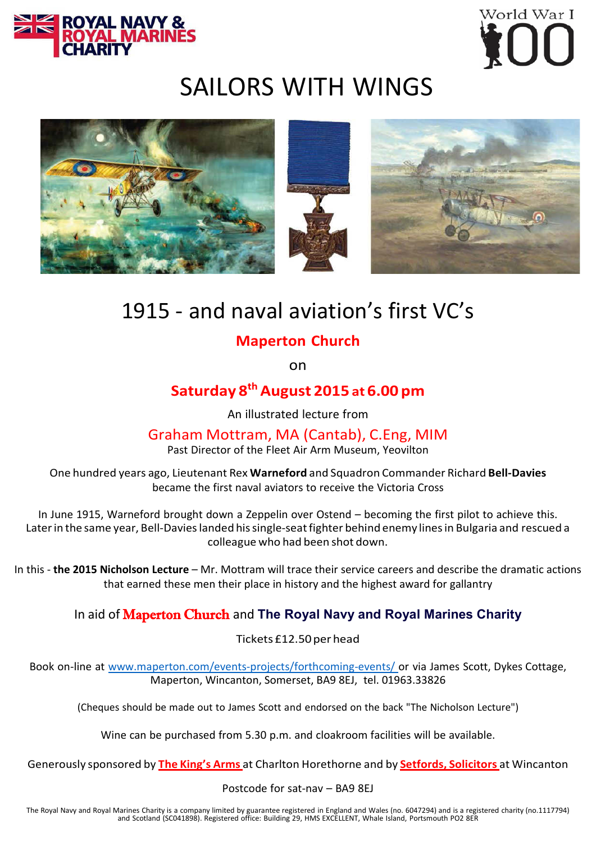



# SAILORS WITH WINGS



# 1915 - and naval aviation's first VC's

### **Maperton Church**

on

## **Saturday 8th August 2015 at 6.00 pm**

An illustrated lecture from

#### Graham Mottram, MA (Cantab), C.Eng, MIM

Past Director of the Fleet Air Arm Museum, Yeovilton

One hundred years ago, Lieutenant Rex **Warneford** and Squadron Commander Richard **Bell-Davies** became the first naval aviators to receive the Victoria Cross

In June 1915, Warneford brought down a Zeppelin over Ostend – becoming the first pilot to achieve this. Later in the same year, Bell-Davies landed his single-seat fighter behind enemy lines in Bulgaria and rescued a colleague who had been shot down.

In this - **the 2015 Nicholson Lecture** – Mr. Mottram will trace their service careers and describe the dramatic actions that earned these men their place in history and the highest award for gallantry

#### In aid of Maperton Church and **The Royal Navy and Royal Marines Charity**

Tickets £12.50perhead

Book on-line at [www.maperton.com/events-projects/forthcoming-events/](http://www.maperton.com/events-projects/forthcoming-events/) or via James Scott, Dykes Cottage, Maperton, Wincanton, Somerset, BA9 8EJ, tel. 01963.33826

(Cheques should be made out to James Scott and endorsed on the back "The Nicholson Lecture")

Wine can be purchased from 5.30 p.m. and cloakroom facilities will be available.

Generously sponsored by **The King's Arms** at Charlton Horethorne and by **Setfords, Solicitors** at Wincanton

Postcode for sat-nav – BA9 8EJ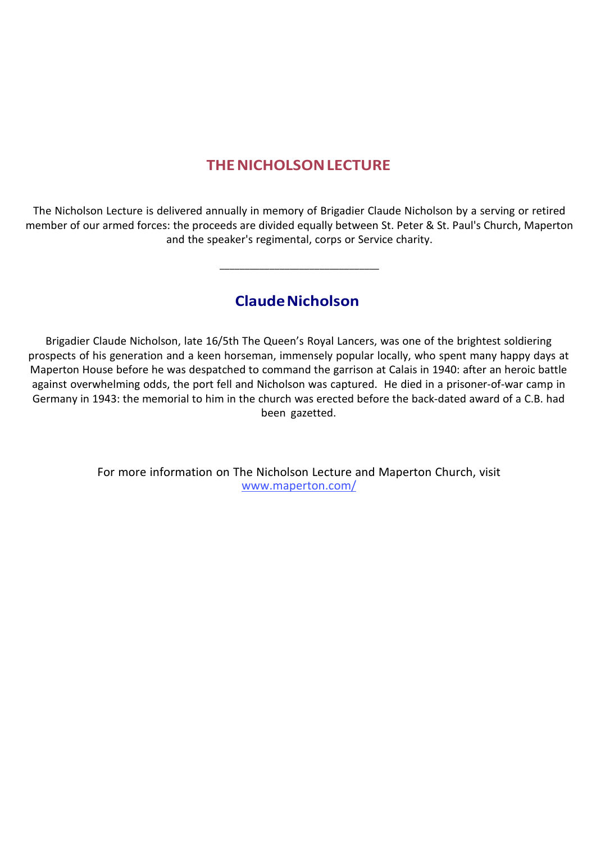### **THENICHOLSONLECTURE**

The Nicholson Lecture is delivered annually in memory of Brigadier Claude Nicholson by a serving or retired member of our armed forces: the proceeds are divided equally between St. Peter & St. Paul's Church, Maperton and the speaker's regimental, corps or Service charity.

**ClaudeNicholson**

\_\_\_\_\_\_\_\_\_\_\_\_\_\_\_\_\_\_\_\_\_\_\_\_\_\_\_\_\_\_\_\_

Brigadier Claude Nicholson, late 16/5th The Queen's Royal Lancers, was one of the brightest soldiering prospects of his generation and a keen horseman, immensely popular locally, who spent many happy days at Maperton House before he was despatched to command the garrison at Calais in 1940: after an heroic battle against overwhelming odds, the port fell and Nicholson was captured. He died in a prisoner-of-war camp in Germany in 1943: the memorial to him in the church was erected before the back-dated award of a C.B. had been gazetted.

> For more information on The Nicholson Lecture and Maperton Church, visit [www.maperton.com/](http://www.maperton.com/)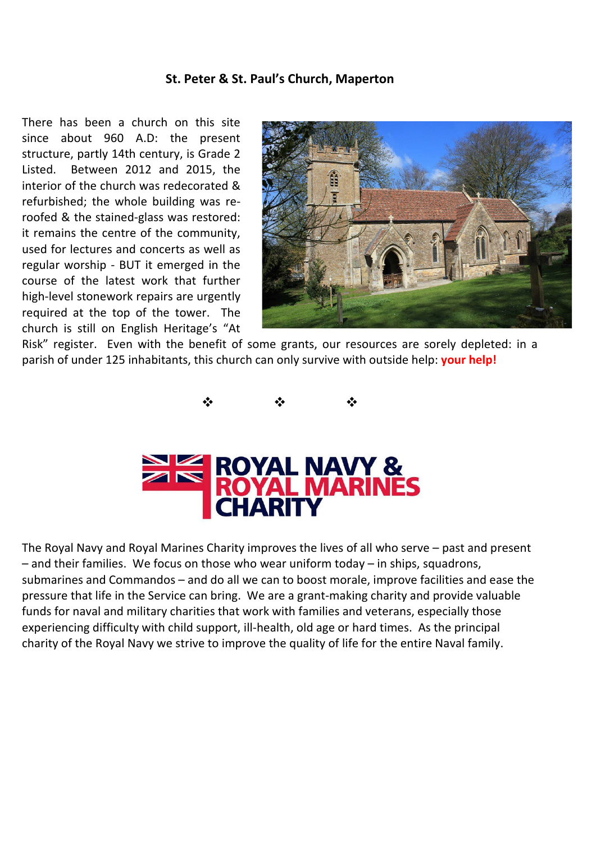#### **St. Peter & St. Paul's Church, Maperton**

There has been a church on this site since about 960 A.D: the present structure, partly 14th century, is Grade 2 Listed. Between 2012 and 2015, the interior of the church was redecorated & refurbished; the whole building was reroofed & the stained-glass was restored: it remains the centre of the community, used for lectures and concerts as well as regular worship - BUT it emerged in the course of the latest work that further high-level stonework repairs are urgently required at the top of the tower. The church is still on English Heritage's "At



Risk" register. Even with the benefit of some grants, our resources are sorely depleted: in a parish of under 125 inhabitants, this church can only survive with outside help: **your help!**



The Royal Navy and Royal Marines Charity improves the lives of all who serve – past and present – and their families. We focus on those who wear uniform today – in ships, squadrons, submarines and Commandos – and do all we can to boost morale, improve facilities and ease the pressure that life in the Service can bring. We are a grant-making charity and provide valuable funds for naval and military charities that work with families and veterans, especially those experiencing difficulty with child support, ill-health, old age or hard times. As the principal charity of the Royal Navy we strive to improve the quality of life for the entire Naval family.